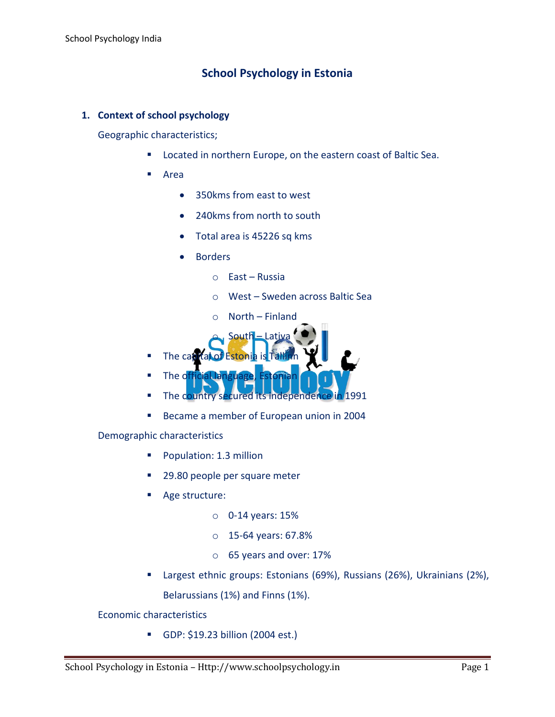# **School Psychology in Estonia**

## **1. Context of school psychology**

Geographic characteristics;

- **EXECTED EXECTED EXECTED EXECTED** Located in northern Europe, on the eastern coast of Baltic Sea.
- Area
	- 350kms from east to west
	- 240kms from north to south
	- Total area is 45226 sq kms
	- Borders
		- o East Russia
		- o West Sweden across Baltic Sea
		- o North Finland
		- South Lativa
- The capital of Estonia is Tal
- The official langu
- The country secured its independence in 1991
- Became a member of European union in 2004

Demographic characteristics

- **Population: 1.3 million**
- 29.80 people per square meter
- Age structure:
	- o 0-14 years: 15%
	- o 15-64 years: 67.8%
	- o 65 years and over: 17%
- Largest ethnic groups: Estonians (69%), Russians (26%), Ukrainians (2%), Belarussians (1%) and Finns (1%).

Economic characteristics

GDP: \$19.23 billion (2004 est.)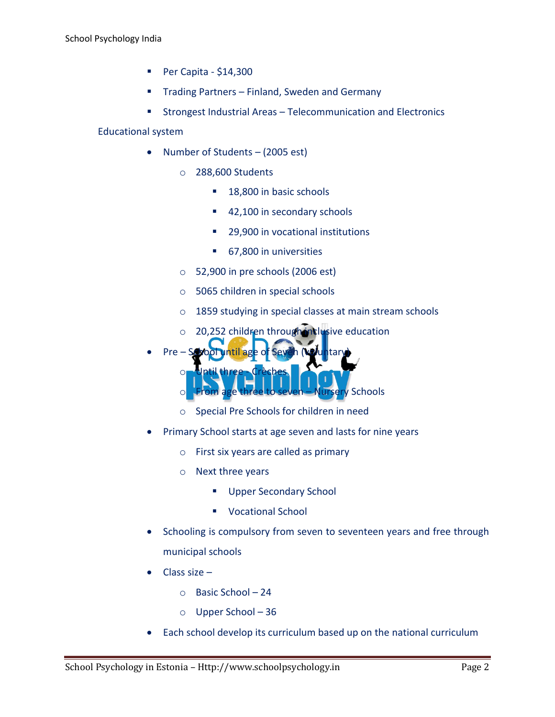- Per Capita  $$14,300$
- Trading Partners Finland, Sweden and Germany
- Strongest Industrial Areas Telecommunication and Electronics

## Educational system

- Number of Students (2005 est)
	- o 288,600 Students
		- 18,800 in basic schools
		- 42,100 in secondary schools
		- 29,900 in vocational institutions
		- 67,800 in universities
	- o 52,900 in pre schools (2006 est)
	- o 5065 children in special schools
	- o 1859 studying in special classes at main stream schools
	- $\circ$  20,252 children through inclusive education
- Pre School until age of Seven (Voluntary
	- - o Until three Crèches ery Schools
		- o Special Pre Schools for children in need
- Primary School starts at age seven and lasts for nine years
	- o First six years are called as primary
	- o Next three years
		- **Upper Secondary School**
		- **Vocational School**
- Schooling is compulsory from seven to seventeen years and free through municipal schools
- Class size
	- o Basic School 24
	- o Upper School 36
- Each school develop its curriculum based up on the national curriculum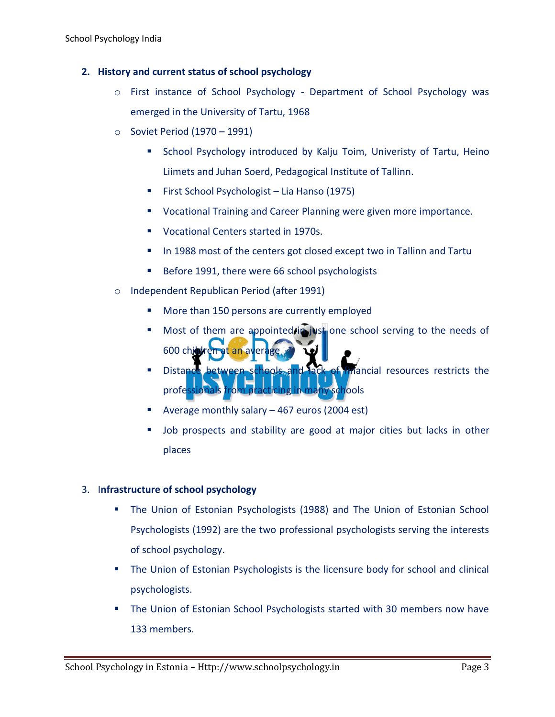# **2. History and current status of school psychology**

- o First instance of School Psychology Department of School Psychology was emerged in the University of Tartu, 1968
- o Soviet Period (1970 1991)
	- **School Psychology introduced by Kalju Toim, Univeristy of Tartu, Heino** Liimets and Juhan Soerd, Pedagogical Institute of Tallinn.
	- First School Psychologist Lia Hanso (1975)
	- **UCCALIAGER 19.4 Vocational Training and Career Planning were given more importance.**
	- **Vocational Centers started in 1970s.**
	- In 1988 most of the centers got closed except two in Tallinn and Tartu
	- Before 1991, there were 66 school psychologists
- o Independent Republican Period (after 1991)
	- **More than 150 persons are currently employed**
	- Most of them are appointed  $\lim_{n \to \infty}$  one school serving to the needs of  $600$  child
	- Distance between schools and lack of imancial resources restricts the professionals from practicing in many schools
	- Average monthly salary 467 euros (2004 est)
	- Job prospects and stability are good at major cities but lacks in other places

#### 3. I**nfrastructure of school psychology**

- **The Union of Estonian Psychologists (1988) and The Union of Estonian School** Psychologists (1992) are the two professional psychologists serving the interests of school psychology.
- **The Union of Estonian Psychologists is the licensure body for school and clinical** psychologists.
- The Union of Estonian School Psychologists started with 30 members now have 133 members.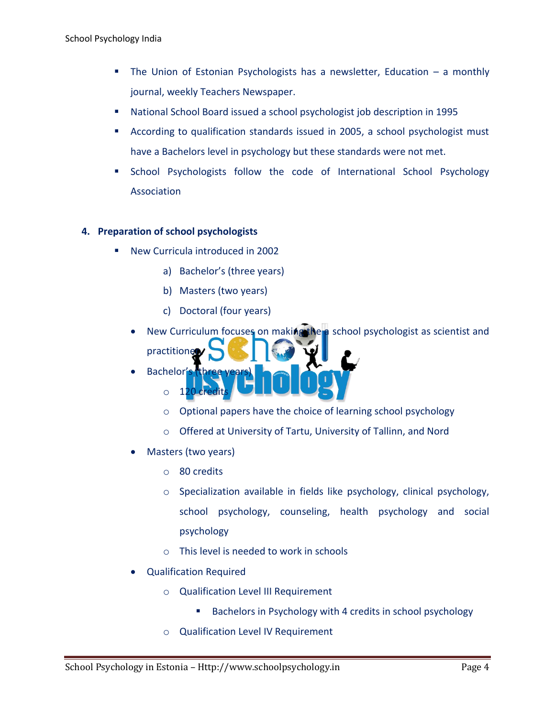- The Union of Estonian Psychologists has a newsletter, Education a monthly journal, weekly Teachers Newspaper.
- National School Board issued a school psychologist job description in 1995
- According to qualification standards issued in 2005, a school psychologist must have a Bachelors level in psychology but these standards were not met.
- **School Psychologists follow the code of International School Psychology** Association

# **4. Preparation of school psychologists**

- New Curricula introduced in 2002
	- a) Bachelor's (three years)
	- b) Masters (two years)
	- c) Doctoral (four years)
	- New Curriculum focuses on making the a school psychologist as scientist and practitioner
	- Bachelor's
		- $\circ$  120
		- o Optional papers have the choice of learning school psychology
		- o Offered at University of Tartu, University of Tallinn, and Nord
	- Masters (two years)
		- o 80 credits
		- o Specialization available in fields like psychology, clinical psychology, school psychology, counseling, health psychology and social psychology
		- o This level is needed to work in schools
	- Qualification Required
		- o Qualification Level III Requirement
			- **Bachelors in Psychology with 4 credits in school psychology**
		- o Qualification Level IV Requirement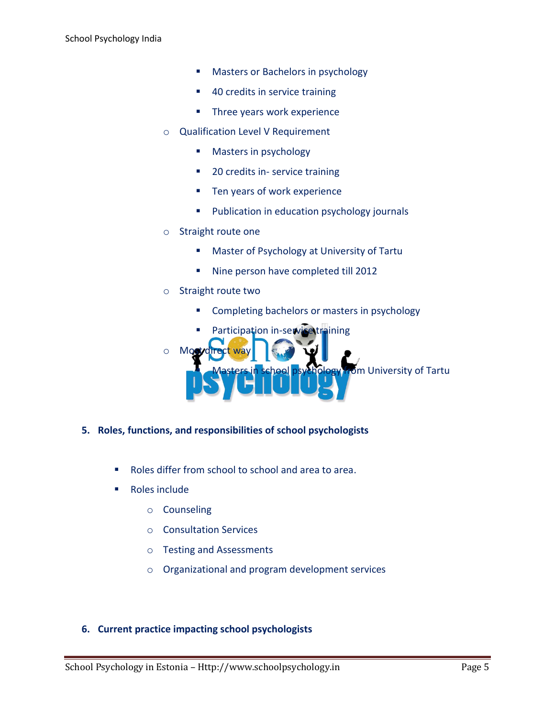- **Masters or Bachelors in psychology**
- 40 credits in service training
- **Three years work experience**
- o Qualification Level V Requirement
	- **Masters in psychology**
	- 20 credits in- service training
	- **Ten years of work experience**
	- **Publication in education psychology journals**
- o Straight route one
	- **Master of Psychology at University of Tartu**
	- Nine person have completed till 2012
- o Straight route two
	- **EXECOMPLE COMPLETED EXECUTE:** Completing bachelors or masters in psychology
	- Participation in-service training

 $Mo$ om University of Tartu

- **5. Roles, functions, and responsibilities of school psychologists**
	- Roles differ from school to school and area to area.
	- Roles include
		- o Counseling
		- o Consultation Services
		- o Testing and Assessments
		- o Organizational and program development services

#### **6. Current practice impacting school psychologists**